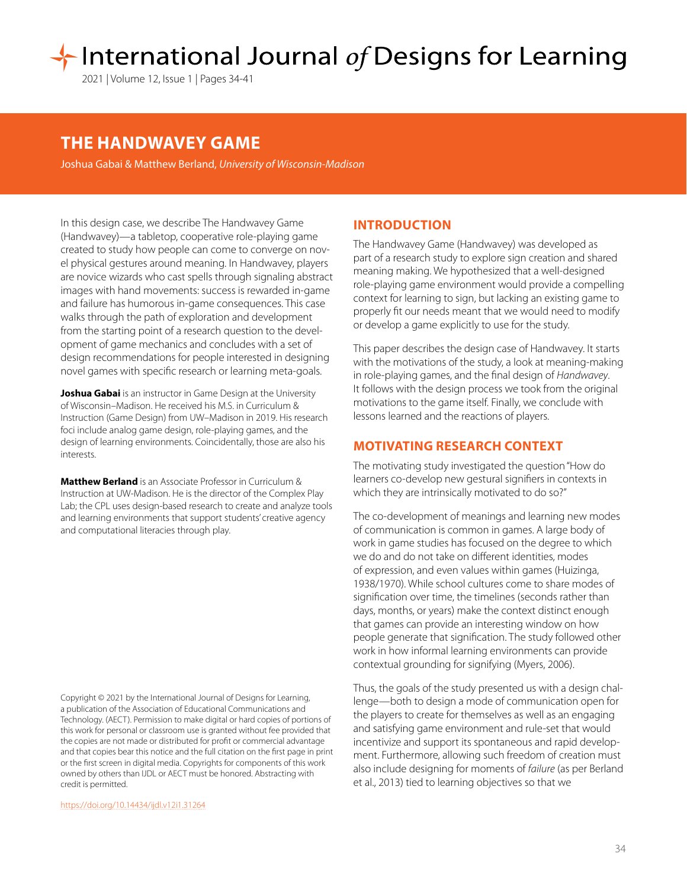# International Journal of Designs for Learning

2021 | Volume 12, Issue 1 | Pages 34-41

## **THE HANDWAVEY GAME**

Joshua Gabai & Matthew Berland, *University of Wisconsin-Madison*

In this design case, we describe The Handwavey Game (Handwavey)—a tabletop, cooperative role-playing game created to study how people can come to converge on novel physical gestures around meaning. In Handwavey, players are novice wizards who cast spells through signaling abstract images with hand movements: success is rewarded in-game and failure has humorous in-game consequences. This case walks through the path of exploration and development from the starting point of a research question to the development of game mechanics and concludes with a set of design recommendations for people interested in designing novel games with specific research or learning meta-goals.

**Joshua Gabai** is an instructor in Game Design at the University of Wisconsin–Madison. He received his M.S. in Curriculum & Instruction (Game Design) from UW–Madison in 2019. His research foci include analog game design, role-playing games, and the design of learning environments. Coincidentally, those are also his interests.

**Matthew Berland** is an Associate Professor in Curriculum & Instruction at UW-Madison. He is the director of the Complex Play Lab; the CPL uses design-based research to create and analyze tools and learning environments that support students' creative agency and computational literacies through play.

Copyright © 2021 by the International Journal of Designs for Learning, a publication of the Association of Educational Communications and Technology. (AECT). Permission to make digital or hard copies of portions of this work for personal or classroom use is granted without fee provided that the copies are not made or distributed for profit or commercial advantage and that copies bear this notice and the full citation on the first page in print or the first screen in digital media. Copyrights for components of this work owned by others than IJDL or AECT must be honored. Abstracting with credit is permitted.

[https://doi.org/](https://doi.org/10.14434/ijdl.v12i1.31264
)10.14434/ijdl.v12i1.31264

#### **INTRODUCTION**

The Handwavey Game (Handwavey) was developed as part of a research study to explore sign creation and shared meaning making. We hypothesized that a well-designed role-playing game environment would provide a compelling context for learning to sign, but lacking an existing game to properly fit our needs meant that we would need to modify or develop a game explicitly to use for the study.

This paper describes the design case of Handwavey. It starts with the motivations of the study, a look at meaning-making in role-playing games, and the final design of *Handwavey*. It follows with the design process we took from the original motivations to the game itself. Finally, we conclude with lessons learned and the reactions of players.

## **MOTIVATING RESEARCH CONTEXT**

The motivating study investigated the question"How do learners co-develop new gestural signifiers in contexts in which they are intrinsically motivated to do so?"

The co-development of meanings and learning new modes of communication is common in games. A large body of work in game studies has focused on the degree to which we do and do not take on different identities, modes of expression, and even values within games (Huizinga, 1938/1970). While school cultures come to share modes of signification over time, the timelines (seconds rather than days, months, or years) make the context distinct enough that games can provide an interesting window on how people generate that signification. The study followed other work in how informal learning environments can provide contextual grounding for signifying (Myers, 2006).

Thus, the goals of the study presented us with a design challenge—both to design a mode of communication open for the players to create for themselves as well as an engaging and satisfying game environment and rule-set that would incentivize and support its spontaneous and rapid development. Furthermore, allowing such freedom of creation must also include designing for moments of *failure* (as per Berland et al., 2013) tied to learning objectives so that we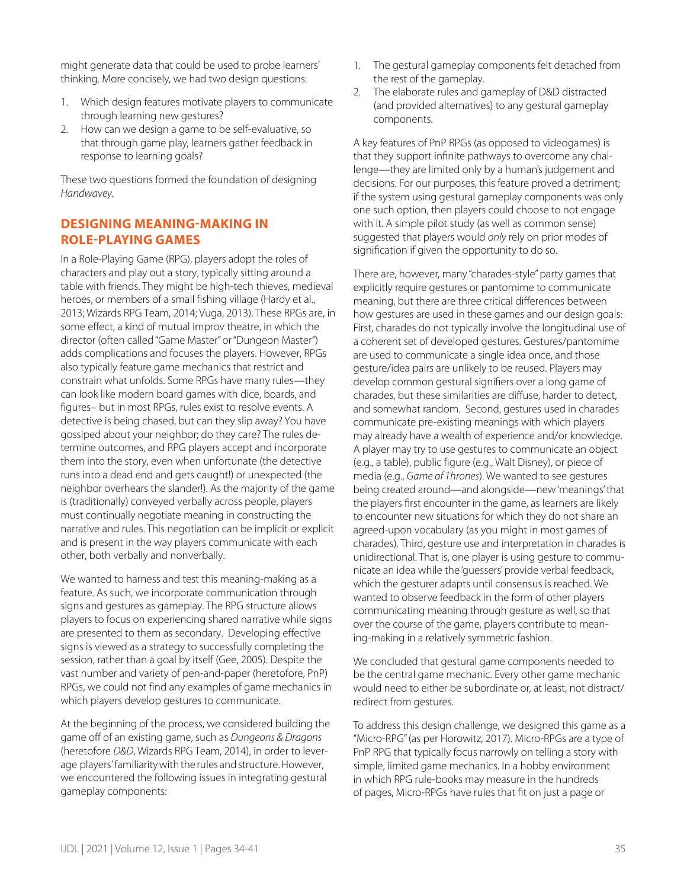might generate data that could be used to probe learners' thinking. More concisely, we had two design questions:

- 1. Which design features motivate players to communicate through learning new gestures?
- 2. How can we design a game to be self-evaluative, so that through game play, learners gather feedback in response to learning goals?

These two questions formed the foundation of designing *Handwavey*.

## **DESIGNING MEANING-MAKING IN ROLE-PLAYING GAMES**

In a Role-Playing Game (RPG), players adopt the roles of characters and play out a story, typically sitting around a table with friends. They might be high-tech thieves, medieval heroes, or members of a small fishing village (Hardy et al., 2013; Wizards RPG Team, 2014; Vuga, 2013). These RPGs are, in some effect, a kind of mutual improv theatre, in which the director (often called "Game Master" or "Dungeon Master") adds complications and focuses the players. However, RPGs also typically feature game mechanics that restrict and constrain what unfolds. Some RPGs have many rules—they can look like modern board games with dice, boards, and figures– but in most RPGs, rules exist to resolve events. A detective is being chased, but can they slip away? You have gossiped about your neighbor; do they care? The rules determine outcomes, and RPG players accept and incorporate them into the story, even when unfortunate (the detective runs into a dead end and gets caught!) or unexpected (the neighbor overhears the slander!). As the majority of the game is (traditionally) conveyed verbally across people, players must continually negotiate meaning in constructing the narrative and rules. This negotiation can be implicit or explicit and is present in the way players communicate with each other, both verbally and nonverbally.

We wanted to harness and test this meaning-making as a feature. As such, we incorporate communication through signs and gestures as gameplay. The RPG structure allows players to focus on experiencing shared narrative while signs are presented to them as secondary. Developing effective signs is viewed as a strategy to successfully completing the session, rather than a goal by itself (Gee, 2005). Despite the vast number and variety of pen-and-paper (heretofore, PnP) RPGs, we could not find any examples of game mechanics in which players develop gestures to communicate.

At the beginning of the process, we considered building the game off of an existing game, such as *Dungeons & Dragons* (heretofore *D&D*, Wizards RPG Team, 2014), in order to leverage players' familiarity with the rules and structure. However, we encountered the following issues in integrating gestural gameplay components:

- 1. The gestural gameplay components felt detached from the rest of the gameplay.
- 2. The elaborate rules and gameplay of D&D distracted (and provided alternatives) to any gestural gameplay components.

A key features of PnP RPGs (as opposed to videogames) is that they support infinite pathways to overcome any challenge—they are limited only by a human's judgement and decisions. For our purposes, this feature proved a detriment; if the system using gestural gameplay components was only one such option, then players could choose to not engage with it. A simple pilot study (as well as common sense) suggested that players would *only* rely on prior modes of signification if given the opportunity to do so.

There are, however, many "charades-style" party games that explicitly require gestures or pantomime to communicate meaning, but there are three critical differences between how gestures are used in these games and our design goals: First, charades do not typically involve the longitudinal use of a coherent set of developed gestures. Gestures/pantomime are used to communicate a single idea once, and those gesture/idea pairs are unlikely to be reused. Players may develop common gestural signifiers over a long game of charades, but these similarities are diffuse, harder to detect, and somewhat random. Second, gestures used in charades communicate pre-existing meanings with which players may already have a wealth of experience and/or knowledge. A player may try to use gestures to communicate an object (e.g., a table), public figure (e.g., Walt Disney), or piece of media (e.g., *Game of Thrones*). We wanted to see gestures being created around—and alongside—new 'meanings' that the players first encounter in the game, as learners are likely to encounter new situations for which they do not share an agreed-upon vocabulary (as you might in most games of charades). Third, gesture use and interpretation in charades is unidirectional. That is, one player is using gesture to communicate an idea while the 'guessers' provide verbal feedback, which the gesturer adapts until consensus is reached. We wanted to observe feedback in the form of other players communicating meaning through gesture as well, so that over the course of the game, players contribute to meaning-making in a relatively symmetric fashion.

We concluded that gestural game components needed to be the central game mechanic. Every other game mechanic would need to either be subordinate or, at least, not distract/ redirect from gestures.

To address this design challenge, we designed this game as a "Micro-RPG" (as per Horowitz, 2017). Micro-RPGs are a type of PnP RPG that typically focus narrowly on telling a story with simple, limited game mechanics. In a hobby environment in which RPG rule-books may measure in the hundreds of pages, Micro-RPGs have rules that fit on just a page or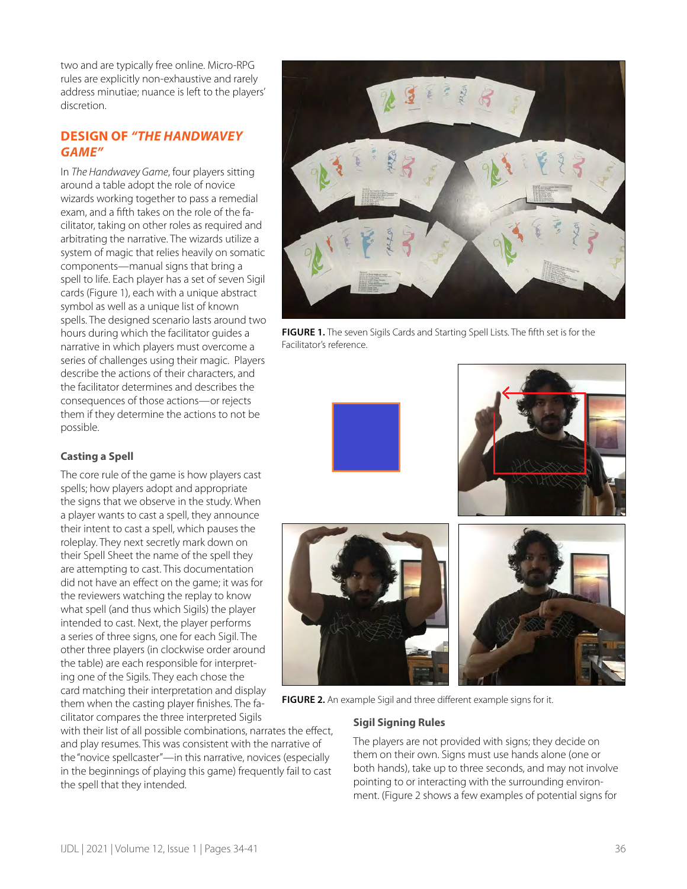two and are typically free online. Micro-RPG rules are explicitly non-exhaustive and rarely address minutiae; nuance is left to the players' discretion.

## **DESIGN OF** *"THE HANDWAVEY GAME"*

In *The Handwavey Game*, four players sitting around a table adopt the role of novice wizards working together to pass a remedial exam, and a fifth takes on the role of the facilitator, taking on other roles as required and arbitrating the narrative. The wizards utilize a system of magic that relies heavily on somatic components—manual signs that bring a spell to life. Each player has a set of seven Sigil cards (Figure 1), each with a unique abstract symbol as well as a unique list of known spells. The designed scenario lasts around two hours during which the facilitator guides a narrative in which players must overcome a series of challenges using their magic. Players describe the actions of their characters, and the facilitator determines and describes the consequences of those actions—or rejects them if they determine the actions to not be possible.

## **Casting a Spell**

The core rule of the game is how players cast spells; how players adopt and appropriate the signs that we observe in the study. When a player wants to cast a spell, they announce their intent to cast a spell, which pauses the roleplay. They next secretly mark down on their Spell Sheet the name of the spell they are attempting to cast. This documentation did not have an effect on the game; it was for the reviewers watching the replay to know what spell (and thus which Sigils) the player intended to cast. Next, the player performs a series of three signs, one for each Sigil. The other three players (in clockwise order around the table) are each responsible for interpreting one of the Sigils. They each chose the card matching their interpretation and display them when the casting player finishes. The facilitator compares the three interpreted Sigils

with their list of all possible combinations, narrates the effect, and play resumes. This was consistent with the narrative of the "novice spellcaster"—in this narrative, novices (especially in the beginnings of playing this game) frequently fail to cast the spell that they intended.



**FIGURE 1.** The seven Sigils Cards and Starting Spell Lists. The fifth set is for the Facilitator's reference.





**FIGURE 2.** An example Sigil and three different example signs for it.

#### **Sigil Signing Rules**

The players are not provided with signs; they decide on them on their own. Signs must use hands alone (one or both hands), take up to three seconds, and may not involve pointing to or interacting with the surrounding environment. (Figure 2 shows a few examples of potential signs for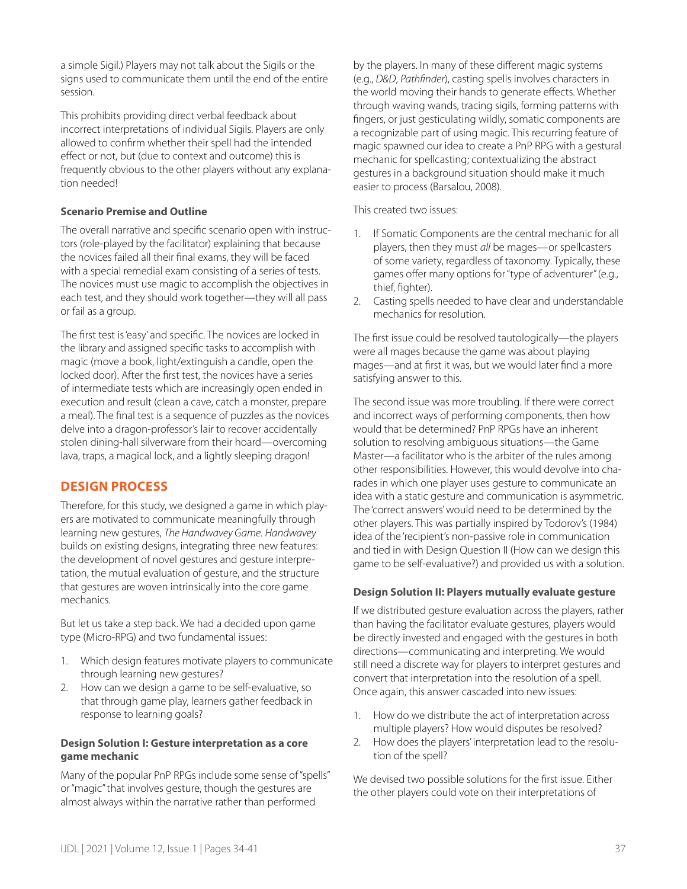a simple Sigil.) Players may not talk about the Sigils or the signs used to communicate them until the end of the entire session.

This prohibits providing direct verbal feedback about incorrect interpretations of individual Sigils. Players are only allowed to confirm whether their spell had the intended effect or not, but (due to context and outcome) this is frequently obvious to the other players without any explanation needed!

#### **Scenario Premise and Outline**

The overall narrative and specific scenario open with instructors (role-played by the facilitator) explaining that because the novices failed all their final exams, they will be faced with a special remedial exam consisting of a series of tests. The novices must use magic to accomplish the objectives in each test, and they should work together—they will all pass or fail as a group.

The first test is 'easy' and specific. The novices are locked in the library and assigned specific tasks to accomplish with magic (move a book, light/extinguish a candle, open the locked door). After the first test, the novices have a series of intermediate tests which are increasingly open ended in execution and result (clean a cave, catch a monster, prepare a meal). The final test is a sequence of puzzles as the novices delve into a dragon-professor's lair to recover accidentally stolen dining-hall silverware from their hoard—overcoming lava, traps, a magical lock, and a lightly sleeping dragon!

## **DESIGN PROCESS**

Therefore, for this study, we designed a game in which players are motivated to communicate meaningfully through learning new gestures, *The Handwavey Game*. *Handwavey* builds on existing designs, integrating three new features: the development of novel gestures and gesture interpretation, the mutual evaluation of gesture, and the structure that gestures are woven intrinsically into the core game mechanics.

But let us take a step back. We had a decided upon game type (Micro-RPG) and two fundamental issues:

- 1. Which design features motivate players to communicate through learning new gestures?
- 2. How can we design a game to be self-evaluative, so that through game play, learners gather feedback in response to learning goals?

#### **Design Solution I: Gesture interpretation as a core game mechanic**

Many of the popular PnP RPGs include some sense of "spells" or "magic" that involves gesture, though the gestures are almost always within the narrative rather than performed

by the players. In many of these different magic systems (e.g., *D&D*, *Pathfinder*), casting spells involves characters in the world moving their hands to generate effects. Whether through waving wands, tracing sigils, forming patterns with fingers, or just gesticulating wildly, somatic components are a recognizable part of using magic. This recurring feature of magic spawned our idea to create a PnP RPG with a gestural mechanic for spellcasting; contextualizing the abstract gestures in a background situation should make it much easier to process (Barsalou, 2008).

This created two issues:

- 1. If Somatic Components are the central mechanic for all players, then they must *all* be mages—or spellcasters of some variety, regardless of taxonomy. Typically, these games offer many options for "type of adventurer" (e.g., thief, fighter).
- 2. Casting spells needed to have clear and understandable mechanics for resolution.

The first issue could be resolved tautologically—the players were all mages because the game was about playing mages—and at first it was, but we would later find a more satisfying answer to this.

The second issue was more troubling. If there were correct and incorrect ways of performing components, then how would that be determined? PnP RPGs have an inherent solution to resolving ambiguous situations—the Game Master—a facilitator who is the arbiter of the rules among other responsibilities. However, this would devolve into charades in which one player uses gesture to communicate an idea with a static gesture and communication is asymmetric. The 'correct answers' would need to be determined by the other players. This was partially inspired by Todorov's (1984) idea of the 'recipient's non-passive role in communication and tied in with Design Question II (How can we design this game to be self-evaluative?) and provided us with a solution.

#### **Design Solution II: Players mutually evaluate gesture**

If we distributed gesture evaluation across the players, rather than having the facilitator evaluate gestures, players would be directly invested and engaged with the gestures in both directions—communicating and interpreting. We would still need a discrete way for players to interpret gestures and convert that interpretation into the resolution of a spell. Once again, this answer cascaded into new issues:

- 1. How do we distribute the act of interpretation across multiple players? How would disputes be resolved?
- 2. How does the players' interpretation lead to the resolution of the spell?

We devised two possible solutions for the first issue. Either the other players could vote on their interpretations of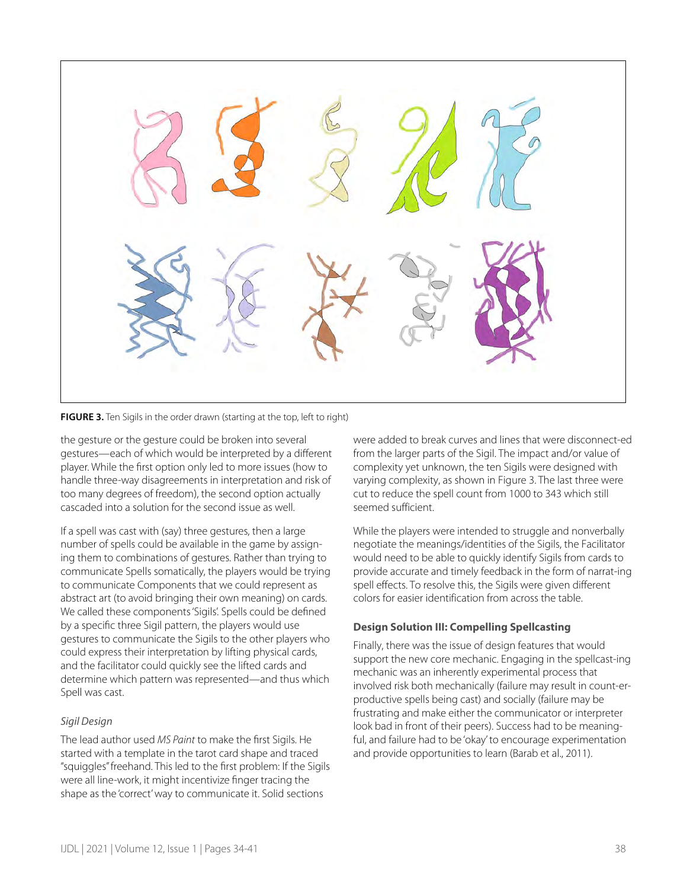

**FIGURE 3.** Ten Sigils in the order drawn (starting at the top, left to right)

the gesture or the gesture could be broken into several gestures—each of which would be interpreted by a different player. While the first option only led to more issues (how to handle three-way disagreements in interpretation and risk of too many degrees of freedom), the second option actually cascaded into a solution for the second issue as well.

If a spell was cast with (say) three gestures, then a large number of spells could be available in the game by assigning them to combinations of gestures. Rather than trying to communicate Spells somatically, the players would be trying to communicate Components that we could represent as abstract art (to avoid bringing their own meaning) on cards. We called these components 'Sigils'. Spells could be defined by a specific three Sigil pattern, the players would use gestures to communicate the Sigils to the other players who could express their interpretation by lifting physical cards, and the facilitator could quickly see the lifted cards and determine which pattern was represented—and thus which Spell was cast.

#### *Sigil Design*

The lead author used *MS Paint* to make the first Sigils. He started with a template in the tarot card shape and traced "squiggles" freehand. This led to the first problem: If the Sigils were all line-work, it might incentivize finger tracing the shape as the 'correct' way to communicate it. Solid sections

were added to break curves and lines that were disconnect-ed from the larger parts of the Sigil. The impact and/or value of complexity yet unknown, the ten Sigils were designed with varying complexity, as shown in Figure 3. The last three were cut to reduce the spell count from 1000 to 343 which still seemed sufficient.

While the players were intended to struggle and nonverbally negotiate the meanings/identities of the Sigils, the Facilitator would need to be able to quickly identify Sigils from cards to provide accurate and timely feedback in the form of narrat-ing spell effects. To resolve this, the Sigils were given different colors for easier identification from across the table.

## **Design Solution III: Compelling Spellcasting**

Finally, there was the issue of design features that would support the new core mechanic. Engaging in the spellcast-ing mechanic was an inherently experimental process that involved risk both mechanically (failure may result in count-erproductive spells being cast) and socially (failure may be frustrating and make either the communicator or interpreter look bad in front of their peers). Success had to be meaningful, and failure had to be 'okay' to encourage experimentation and provide opportunities to learn (Barab et al., 2011).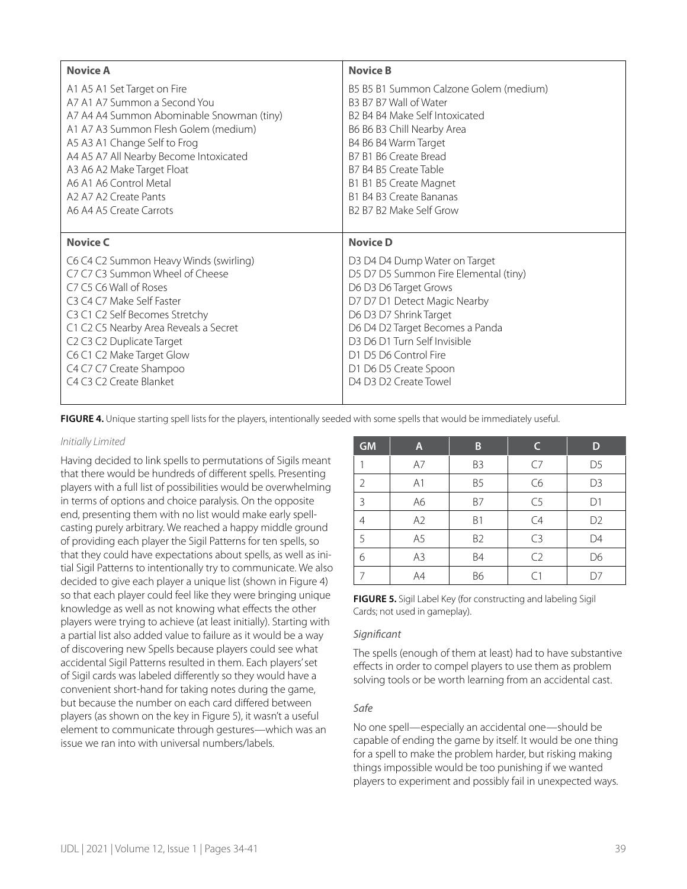| <b>Novice A</b>                           | <b>Novice B</b>                        |  |  |
|-------------------------------------------|----------------------------------------|--|--|
| A1 A5 A1 Set Target on Fire               | B5 B5 B1 Summon Calzone Golem (medium) |  |  |
| A7 A1 A7 Summon a Second You              | B3 B7 B7 Wall of Water                 |  |  |
| A7 A4 A4 Summon Abominable Snowman (tiny) | B2 B4 B4 Make Self Intoxicated         |  |  |
| A1 A7 A3 Summon Flesh Golem (medium)      | B6 B6 B3 Chill Nearby Area             |  |  |
| A5 A3 A1 Change Self to Frog              | B4 B6 B4 Warm Target                   |  |  |
| A4 A5 A7 All Nearby Become Intoxicated    | B7 B1 B6 Create Bread                  |  |  |
| A3 A6 A2 Make Target Float                | B7 B4 B5 Create Table                  |  |  |
| A6 A1 A6 Control Metal                    | B1 B1 B5 Create Magnet                 |  |  |
| A2 A7 A2 Create Pants                     | B1 B4 B3 Create Bananas                |  |  |
| A6 A4 A5 Create Carrots                   | B2 B7 B2 Make Self Grow                |  |  |
|                                           |                                        |  |  |
|                                           |                                        |  |  |
| <b>Novice C</b>                           | <b>Novice D</b>                        |  |  |
| C6 C4 C2 Summon Heavy Winds (swirling)    | D3 D4 D4 Dump Water on Target          |  |  |
| C7 C7 C3 Summon Wheel of Cheese           | D5 D7 D5 Summon Fire Elemental (tiny)  |  |  |
| C7 C5 C6 Wall of Roses                    | D6 D3 D6 Target Grows                  |  |  |
| C3 C4 C7 Make Self Faster                 | D7 D7 D1 Detect Magic Nearby           |  |  |
| C3 C1 C2 Self Becomes Stretchy            | D6 D3 D7 Shrink Target                 |  |  |
| C1 C2 C5 Nearby Area Reveals a Secret     | D6 D4 D2 Target Becomes a Panda        |  |  |
| C2 C3 C2 Duplicate Target                 | D3 D6 D1 Turn Self Invisible           |  |  |
| C6 C1 C2 Make Target Glow                 | D1 D5 D6 Control Fire                  |  |  |
| C4 C7 C7 Create Shampoo                   | D1 D6 D5 Create Spoon                  |  |  |
| C4 C3 C2 Create Blanket                   | D4 D3 D2 Create Towel                  |  |  |

**FIGURE 4.** Unique starting spell lists for the players, intentionally seeded with some spells that would be immediately useful.

#### *Initially Limited*

Having decided to link spells to permutations of Sigils meant that there would be hundreds of different spells. Presenting players with a full list of possibilities would be overwhelming in terms of options and choice paralysis. On the opposite end, presenting them with no list would make early spellcasting purely arbitrary. We reached a happy middle ground of providing each player the Sigil Patterns for ten spells, so that they could have expectations about spells, as well as initial Sigil Patterns to intentionally try to communicate. We also decided to give each player a unique list (shown in Figure 4) so that each player could feel like they were bringing unique knowledge as well as not knowing what effects the other players were trying to achieve (at least initially). Starting with a partial list also added value to failure as it would be a way of discovering new Spells because players could see what accidental Sigil Patterns resulted in them. Each players' set of Sigil cards was labeled differently so they would have a convenient short-hand for taking notes during the game, but because the number on each card differed between players (as shown on the key in Figure 5), it wasn't a useful element to communicate through gestures—which was an issue we ran into with universal numbers/labels.

| <b>GM</b>      | A              | B              | C              | D              |
|----------------|----------------|----------------|----------------|----------------|
|                | A7             | B <sub>3</sub> | C7             | D <sub>5</sub> |
| 2              | A <sub>1</sub> | B <sub>5</sub> | C6             | D <sub>3</sub> |
| 3              | A6             | B7             | C <sub>5</sub> | D1             |
| 4              | A <sub>2</sub> | B1             | C4             | D <sub>2</sub> |
| 5              | A <sub>5</sub> | B <sub>2</sub> | C <sub>3</sub> | D4             |
| 6              | A3             | <b>B4</b>      | C <sub>2</sub> | D6             |
| $\overline{7}$ | A4             | <b>B6</b>      | C1             | D7             |

**FIGURE 5.** Sigil Label Key (for constructing and labeling Sigil Cards; not used in gameplay).

#### *Significant*

The spells (enough of them at least) had to have substantive effects in order to compel players to use them as problem solving tools or be worth learning from an accidental cast.

#### *Safe*

No one spell—especially an accidental one—should be capable of ending the game by itself. It would be one thing for a spell to make the problem harder, but risking making things impossible would be too punishing if we wanted players to experiment and possibly fail in unexpected ways.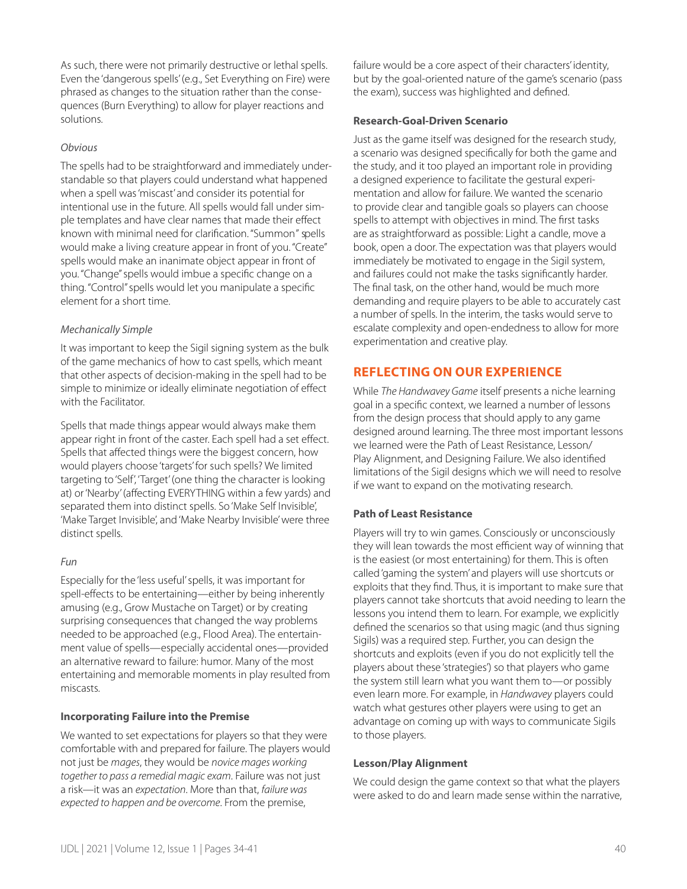As such, there were not primarily destructive or lethal spells. Even the 'dangerous spells' (e.g., Set Everything on Fire) were phrased as changes to the situation rather than the consequences (Burn Everything) to allow for player reactions and solutions.

## *Obvious*

The spells had to be straightforward and immediately understandable so that players could understand what happened when a spell was 'miscast' and consider its potential for intentional use in the future. All spells would fall under simple templates and have clear names that made their effect known with minimal need for clarification. "Summon" spells would make a living creature appear in front of you. "Create" spells would make an inanimate object appear in front of you. "Change" spells would imbue a specific change on a thing. "Control" spells would let you manipulate a specific element for a short time.

## *Mechanically Simple*

It was important to keep the Sigil signing system as the bulk of the game mechanics of how to cast spells, which meant that other aspects of decision-making in the spell had to be simple to minimize or ideally eliminate negotiation of effect with the Facilitator.

Spells that made things appear would always make them appear right in front of the caster. Each spell had a set effect. Spells that affected things were the biggest concern, how would players choose 'targets' for such spells? We limited targeting to 'Self', 'Target' (one thing the character is looking at) or 'Nearby' (affecting EVERYTHING within a few yards) and separated them into distinct spells. So 'Make Self Invisible', 'Make Target Invisible', and 'Make Nearby Invisible' were three distinct spells.

## *Fun*

Especially for the 'less useful' spells, it was important for spell-effects to be entertaining—either by being inherently amusing (e.g., Grow Mustache on Target) or by creating surprising consequences that changed the way problems needed to be approached (e.g., Flood Area). The entertainment value of spells—especially accidental ones—provided an alternative reward to failure: humor. Many of the most entertaining and memorable moments in play resulted from miscasts.

## **Incorporating Failure into the Premise**

We wanted to set expectations for players so that they were comfortable with and prepared for failure. The players would not just be *mages*, they would be *novice mages working together to pass a remedial magic exam*. Failure was not just a risk—it was an *expectation*. More than that, *failure was expected to happen and be overcome*. From the premise,

failure would be a core aspect of their characters' identity, but by the goal-oriented nature of the game's scenario (pass the exam), success was highlighted and defined.

## **Research-Goal-Driven Scenario**

Just as the game itself was designed for the research study, a scenario was designed specifically for both the game and the study, and it too played an important role in providing a designed experience to facilitate the gestural experimentation and allow for failure. We wanted the scenario to provide clear and tangible goals so players can choose spells to attempt with objectives in mind. The first tasks are as straightforward as possible: Light a candle, move a book, open a door. The expectation was that players would immediately be motivated to engage in the Sigil system, and failures could not make the tasks significantly harder. The final task, on the other hand, would be much more demanding and require players to be able to accurately cast a number of spells. In the interim, the tasks would serve to escalate complexity and open-endedness to allow for more experimentation and creative play.

## **REFLECTING ON OUR EXPERIENCE**

While *The Handwavey Game* itself presents a niche learning goal in a specific context, we learned a number of lessons from the design process that should apply to any game designed around learning. The three most important lessons we learned were the Path of Least Resistance, Lesson/ Play Alignment, and Designing Failure. We also identified limitations of the Sigil designs which we will need to resolve if we want to expand on the motivating research.

## **Path of Least Resistance**

Players will try to win games. Consciously or unconsciously they will lean towards the most efficient way of winning that is the easiest (or most entertaining) for them. This is often called 'gaming the system' and players will use shortcuts or exploits that they find. Thus, it is important to make sure that players cannot take shortcuts that avoid needing to learn the lessons you intend them to learn. For example, we explicitly defined the scenarios so that using magic (and thus signing Sigils) was a required step. Further, you can design the shortcuts and exploits (even if you do not explicitly tell the players about these 'strategies') so that players who game the system still learn what you want them to—or possibly even learn more. For example, in *Handwavey* players could watch what gestures other players were using to get an advantage on coming up with ways to communicate Sigils to those players.

## **Lesson/Play Alignment**

We could design the game context so that what the players were asked to do and learn made sense within the narrative,